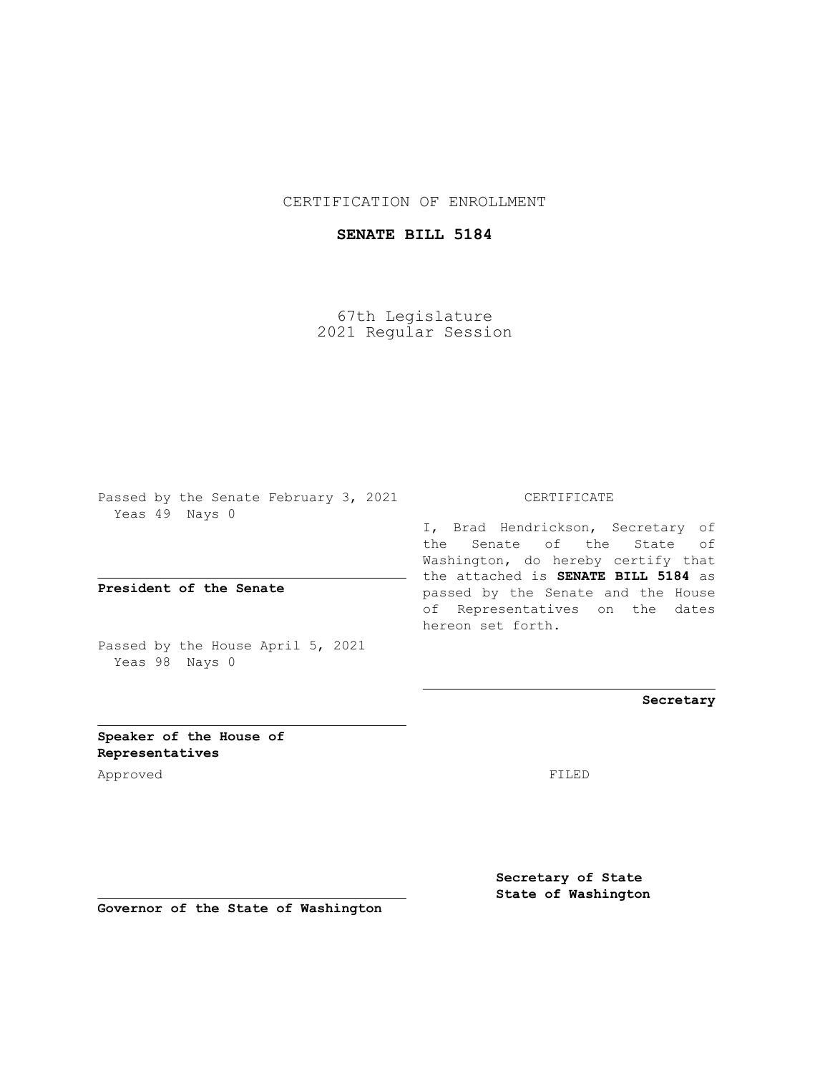CERTIFICATION OF ENROLLMENT

## **SENATE BILL 5184**

67th Legislature 2021 Regular Session

Passed by the Senate February 3, 2021 Yeas 49 Nays 0

**President of the Senate**

Passed by the House April 5, 2021 Yeas 98 Nays 0

CERTIFICATE

I, Brad Hendrickson, Secretary of the Senate of the State of Washington, do hereby certify that the attached is **SENATE BILL 5184** as passed by the Senate and the House of Representatives on the dates hereon set forth.

**Secretary**

**Speaker of the House of Representatives**

Approved FILED

**Secretary of State State of Washington**

**Governor of the State of Washington**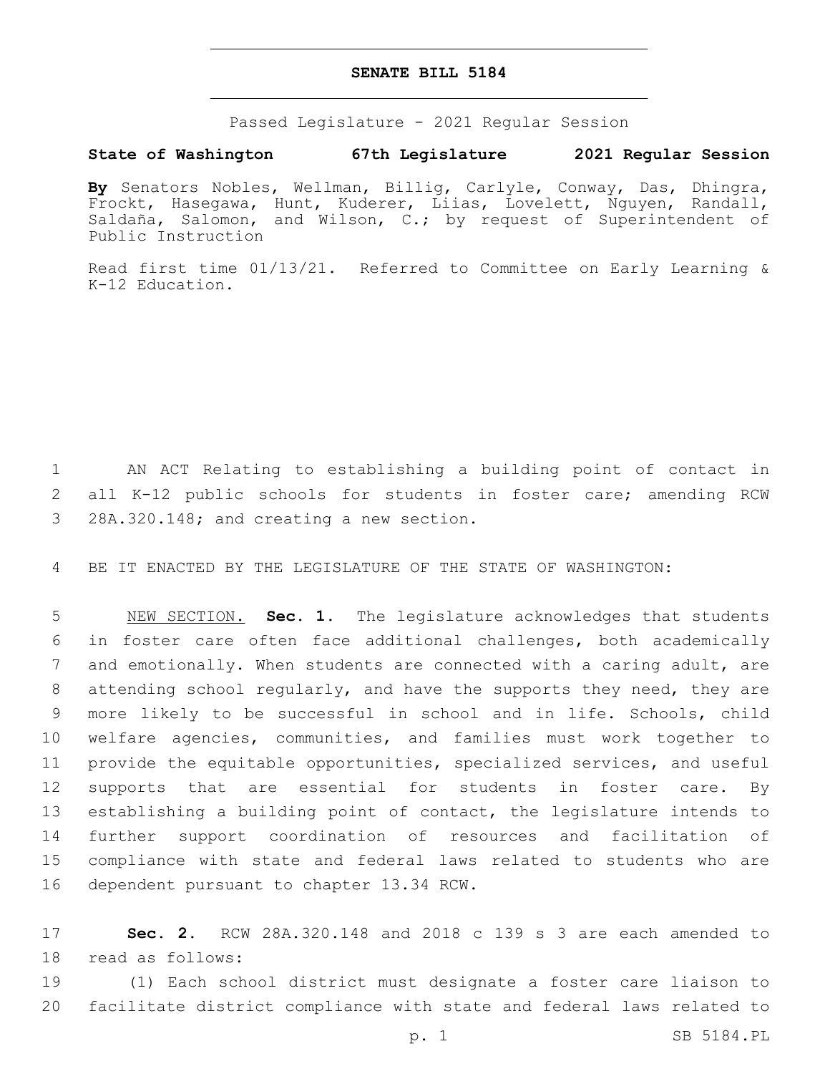## **SENATE BILL 5184**

Passed Legislature - 2021 Regular Session

## **State of Washington 67th Legislature 2021 Regular Session**

**By** Senators Nobles, Wellman, Billig, Carlyle, Conway, Das, Dhingra, Frockt, Hasegawa, Hunt, Kuderer, Liias, Lovelett, Nguyen, Randall, Saldaña, Salomon, and Wilson, C.; by request of Superintendent of Public Instruction

Read first time 01/13/21. Referred to Committee on Early Learning & K-12 Education.

1 AN ACT Relating to establishing a building point of contact in 2 all K-12 public schools for students in foster care; amending RCW 3 28A.320.148; and creating a new section.

4 BE IT ENACTED BY THE LEGISLATURE OF THE STATE OF WASHINGTON:

 NEW SECTION. **Sec. 1.** The legislature acknowledges that students in foster care often face additional challenges, both academically and emotionally. When students are connected with a caring adult, are attending school regularly, and have the supports they need, they are more likely to be successful in school and in life. Schools, child welfare agencies, communities, and families must work together to provide the equitable opportunities, specialized services, and useful 12 supports that are essential for students in foster care. By establishing a building point of contact, the legislature intends to further support coordination of resources and facilitation of compliance with state and federal laws related to students who are dependent pursuant to chapter 13.34 RCW.

17 **Sec. 2.** RCW 28A.320.148 and 2018 c 139 s 3 are each amended to 18 read as follows:

19 (1) Each school district must designate a foster care liaison to 20 facilitate district compliance with state and federal laws related to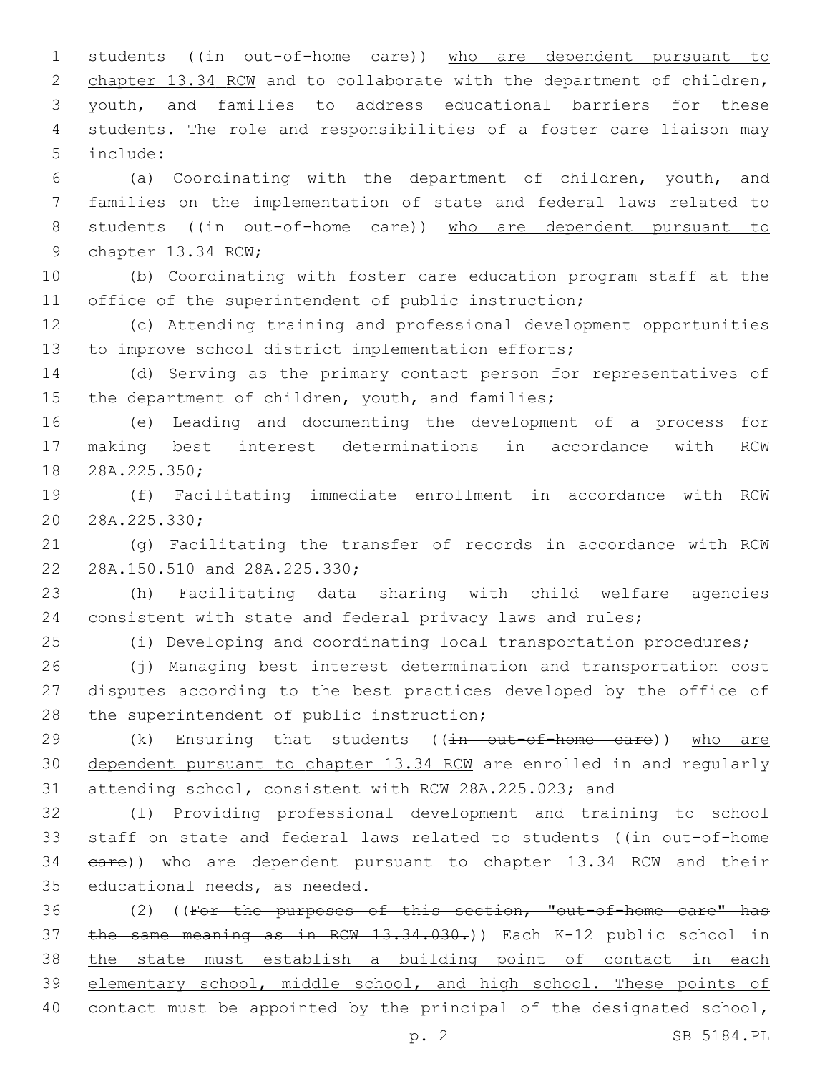1 students ((in out-of-home care)) who are dependent pursuant to 2 chapter 13.34 RCW and to collaborate with the department of children, youth, and families to address educational barriers for these students. The role and responsibilities of a foster care liaison may include:5

 (a) Coordinating with the department of children, youth, and families on the implementation of state and federal laws related to 8 students ((in out-of-home care)) who are dependent pursuant to 9 chapter 13.34 RCW;

 (b) Coordinating with foster care education program staff at the 11 office of the superintendent of public instruction;

 (c) Attending training and professional development opportunities to improve school district implementation efforts;

 (d) Serving as the primary contact person for representatives of 15 the department of children, youth, and families;

 (e) Leading and documenting the development of a process for making best interest determinations in accordance with RCW 18 28A.225.350;

 (f) Facilitating immediate enrollment in accordance with RCW 20 28A.225.330;

 (g) Facilitating the transfer of records in accordance with RCW 22 28A.150.510 and 28A.225.330;

 (h) Facilitating data sharing with child welfare agencies consistent with state and federal privacy laws and rules;

(i) Developing and coordinating local transportation procedures;

 (j) Managing best interest determination and transportation cost disputes according to the best practices developed by the office of 28 the superintendent of public instruction;

29 (k) Ensuring that students ((in out-of-home care)) who are dependent pursuant to chapter 13.34 RCW are enrolled in and regularly attending school, consistent with RCW 28A.225.023; and

 (l) Providing professional development and training to school 33 staff on state and federal laws related to students ((in out-of-home care)) who are dependent pursuant to chapter 13.34 RCW and their 35 educational needs, as needed.

 (2) ((For the purposes of this section, "out-of-home care" has the same meaning as in RCW 13.34.030.)) Each K-12 public school in the state must establish a building point of contact in each elementary school, middle school, and high school. These points of contact must be appointed by the principal of the designated school,